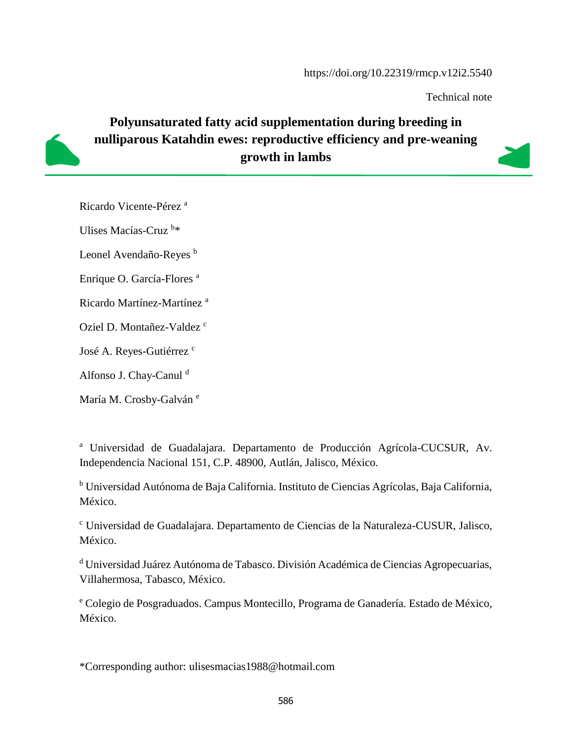#### https://doi.org/10.22319/rmcp.v12i2.5540

Technical note

# **Polyunsaturated fatty acid supplementation during breeding in nulliparous Katahdin ewes: reproductive efficiency and pre-weaning growth in lambs**

Ricardo Vicente-Pérez <sup>a</sup>

Ulises Macías-Cruz<sup>b\*</sup>

Leonel Avendaño-Reyes<sup>b</sup>

Enrique O. García-Flores <sup>a</sup>

Ricardo Martínez-Martínez <sup>a</sup>

Oziel D. Montañez-Valdez c

José A. Reyes-Gutiérrez <sup>c</sup>

Alfonso J. Chay-Canul d

María M. Crosby-Galván<sup>e</sup>

<sup>a</sup> Universidad de Guadalajara. Departamento de Producción Agrícola-CUCSUR, Av. Independencia Nacional 151, C.P. 48900, Autlán, Jalisco, México.

<sup>b</sup> Universidad Autónoma de Baja California. Instituto de Ciencias Agrícolas, Baja California, México.

<sup>c</sup> Universidad de Guadalajara. Departamento de Ciencias de la Naturaleza-CUSUR, Jalisco, México.

<sup>d</sup> Universidad Juárez Autónoma de Tabasco. División Académica de Ciencias Agropecuarias, Villahermosa, Tabasco, México.

<sup>e</sup> Colegio de Posgraduados. Campus Montecillo, Programa de Ganadería. Estado de México, México.

\*Corresponding author: ulisesmacias1988@hotmail.com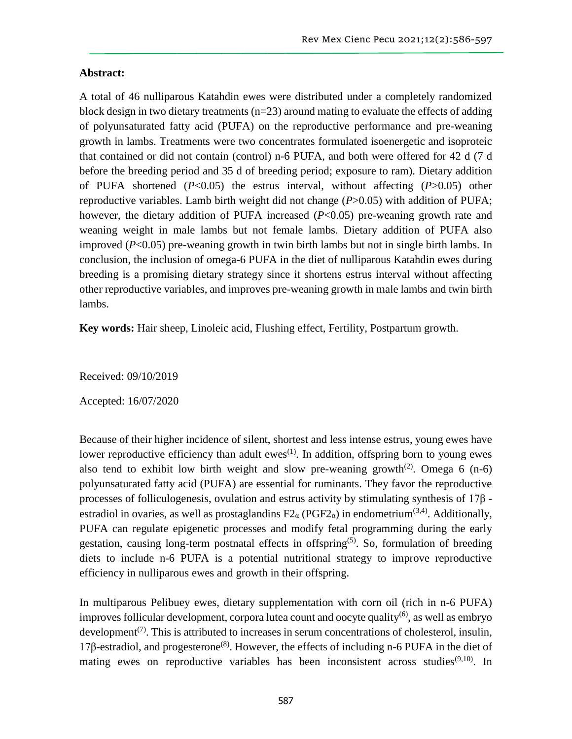# **Abstract:**

A total of 46 nulliparous Katahdin ewes were distributed under a completely randomized block design in two dietary treatments  $(n=23)$  around mating to evaluate the effects of adding of polyunsaturated fatty acid (PUFA) on the reproductive performance and pre-weaning growth in lambs. Treatments were two concentrates formulated isoenergetic and isoproteic that contained or did not contain (control) n-6 PUFA, and both were offered for 42 d (7 d before the breeding period and 35 d of breeding period; exposure to ram). Dietary addition of PUFA shortened (*P*<0.05) the estrus interval, without affecting (*P*>0.05) other reproductive variables. Lamb birth weight did not change (*P*>0.05) with addition of PUFA; however, the dietary addition of PUFA increased (*P*<0.05) pre-weaning growth rate and weaning weight in male lambs but not female lambs. Dietary addition of PUFA also improved (*P*<0.05) pre-weaning growth in twin birth lambs but not in single birth lambs. In conclusion, the inclusion of omega-6 PUFA in the diet of nulliparous Katahdin ewes during breeding is a promising dietary strategy since it shortens estrus interval without affecting other reproductive variables, and improves pre-weaning growth in male lambs and twin birth lambs.

**Key words:** Hair sheep, Linoleic acid, Flushing effect, Fertility, Postpartum growth.

Received: 09/10/2019

Accepted: 16/07/2020

Because of their higher incidence of silent, shortest and less intense estrus, young ewes have lower reproductive efficiency than adult  $e$ wes<sup> $(1)$ </sup>. In addition, offspring born to young ewes also tend to exhibit low birth weight and slow pre-weaning growth<sup>(2)</sup>. Omega 6 (n-6) polyunsaturated fatty acid (PUFA) are essential for ruminants. They favor the reproductive processes of folliculogenesis, ovulation and estrus activity by stimulating synthesis of 17β estradiol in ovaries, as well as prostaglandins  $F2_\alpha$  (PGF2 $_\alpha$ ) in endometrium<sup>(3,4)</sup>. Additionally, PUFA can regulate epigenetic processes and modify fetal programming during the early gestation, causing long-term postnatal effects in offspring<sup>(5)</sup>. So, formulation of breeding diets to include n-6 PUFA is a potential nutritional strategy to improve reproductive efficiency in nulliparous ewes and growth in their offspring.

In multiparous Pelibuey ewes, dietary supplementation with corn oil (rich in n-6 PUFA) improves follicular development, corpora lutea count and oocyte quality $^{(6)}$ , as well as embryo development<sup> $(7)$ </sup>. This is attributed to increases in serum concentrations of cholesterol, insulin,  $17\beta$ -estradiol, and progesterone<sup>(8)</sup>. However, the effects of including n-6 PUFA in the diet of mating ewes on reproductive variables has been inconsistent across studies<sup> $(9,10)$ </sup>. In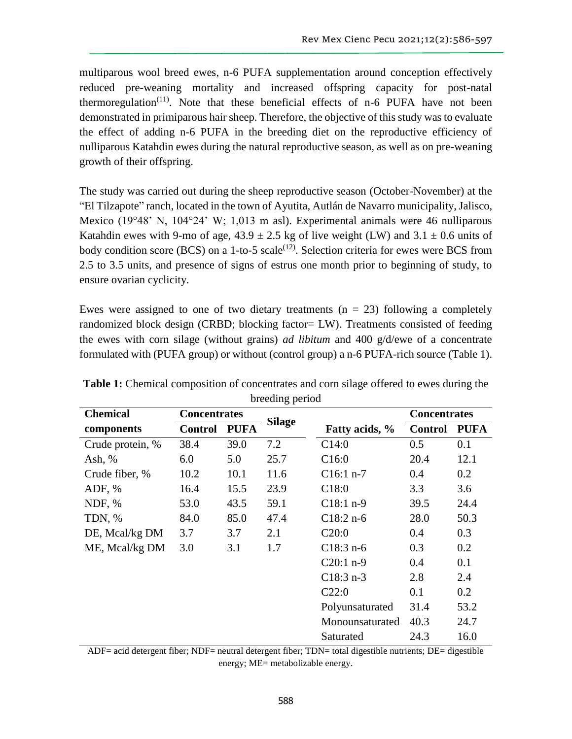multiparous wool breed ewes, n-6 PUFA supplementation around conception effectively reduced pre-weaning mortality and increased offspring capacity for post-natal thermoregulation<sup>(11)</sup>. Note that these beneficial effects of  $n-6$  PUFA have not been demonstrated in primiparous hair sheep. Therefore, the objective of this study was to evaluate the effect of adding n-6 PUFA in the breeding diet on the reproductive efficiency of nulliparous Katahdin ewes during the natural reproductive season, as well as on pre-weaning growth of their offspring.

The study was carried out during the sheep reproductive season (October-November) at the "El Tilzapote" ranch, located in the town of Ayutita, Autlán de Navarro municipality, Jalisco, Mexico (19°48' N, 104°24' W; 1,013 m asl). Experimental animals were 46 nulliparous Katahdin ewes with 9-mo of age,  $43.9 \pm 2.5$  kg of live weight (LW) and  $3.1 \pm 0.6$  units of body condition score (BCS) on a 1-to-5 scale<sup>(12)</sup>. Selection criteria for ewes were BCS from 2.5 to 3.5 units, and presence of signs of estrus one month prior to beginning of study, to ensure ovarian cyclicity.

Ewes were assigned to one of two dietary treatments  $(n = 23)$  following a completely randomized block design (CRBD; blocking factor= LW). Treatments consisted of feeding the ewes with corn silage (without grains) *ad libitum* and 400 g/d/ewe of a concentrate formulated with (PUFA group) or without (control group) a n-6 PUFA-rich source (Table 1).

| $\frac{1}{2}$    |                     |             |               |                 |                     |             |  |  |
|------------------|---------------------|-------------|---------------|-----------------|---------------------|-------------|--|--|
| <b>Chemical</b>  | <b>Concentrates</b> |             | <b>Silage</b> |                 | <b>Concentrates</b> |             |  |  |
| components       | <b>Control</b>      | <b>PUFA</b> |               | Fatty acids, %  | <b>Control</b>      | <b>PUFA</b> |  |  |
| Crude protein, % | 38.4                | 39.0        | 7.2           | C14:0           | 0.5                 | 0.1         |  |  |
| Ash, $%$         | 6.0                 | 5.0         | 25.7          | C16:0           | 20.4                | 12.1        |  |  |
| Crude fiber, %   | 10.2                | 10.1        | 11.6          | $C16:1 n-7$     | 0.4                 | 0.2         |  |  |
| ADF, %           | 16.4                | 15.5        | 23.9          | C18:0           | 3.3                 | 3.6         |  |  |
| NDF, %           | 53.0                | 43.5        | 59.1          | $C18:1 n-9$     | 39.5                | 24.4        |  |  |
| TDN, %           | 84.0                | 85.0        | 47.4          | $C18:2 n-6$     | 28.0                | 50.3        |  |  |
| DE, Mcal/kg DM   | 3.7                 | 3.7         | 2.1           | C20:0           | 0.4                 | 0.3         |  |  |
| ME, Mcal/kg DM   | 3.0                 | 3.1         | 1.7           | $C18:3 n-6$     | 0.3                 | 0.2         |  |  |
|                  |                     |             |               | $C20:1 n-9$     | 0.4                 | 0.1         |  |  |
|                  |                     |             |               | $C18:3 n-3$     | 2.8                 | 2.4         |  |  |
|                  |                     |             |               | C22:0           | 0.1                 | 0.2         |  |  |
|                  |                     |             |               | Polyunsaturated | 31.4                | 53.2        |  |  |
|                  |                     |             |               | Monounsaturated | 40.3                | 24.7        |  |  |
|                  |                     |             |               | Saturated       | 24.3                | 16.0        |  |  |

| <b>Table 1:</b> Chemical composition of concentrates and corn silage offered to ewes during the |                 |  |  |  |
|-------------------------------------------------------------------------------------------------|-----------------|--|--|--|
|                                                                                                 | breeding period |  |  |  |

ADF= acid detergent fiber; NDF= neutral detergent fiber; TDN= total digestible nutrients; DE= digestible energy; ME= metabolizable energy.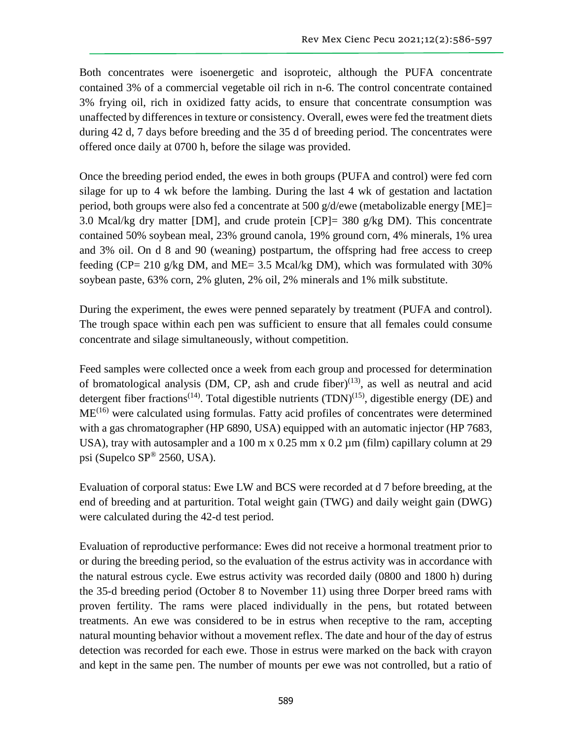Both concentrates were isoenergetic and isoproteic, although the PUFA concentrate contained 3% of a commercial vegetable oil rich in n-6. The control concentrate contained 3% frying oil, rich in oxidized fatty acids, to ensure that concentrate consumption was unaffected by differences in texture or consistency. Overall, ewes were fed the treatment diets during 42 d, 7 days before breeding and the 35 d of breeding period. The concentrates were offered once daily at 0700 h, before the silage was provided.

Once the breeding period ended, the ewes in both groups (PUFA and control) were fed corn silage for up to 4 wk before the lambing. During the last 4 wk of gestation and lactation period, both groups were also fed a concentrate at 500 g/d/ewe (metabolizable energy [ME]= 3.0 Mcal/kg dry matter [DM], and crude protein [CP]= 380 g/kg DM). This concentrate contained 50% soybean meal, 23% ground canola, 19% ground corn, 4% minerals, 1% urea and 3% oil. On d 8 and 90 (weaning) postpartum, the offspring had free access to creep feeding (CP= 210 g/kg DM, and ME= 3.5 Mcal/kg DM), which was formulated with 30% soybean paste, 63% corn, 2% gluten, 2% oil, 2% minerals and 1% milk substitute.

During the experiment, the ewes were penned separately by treatment (PUFA and control). The trough space within each pen was sufficient to ensure that all females could consume concentrate and silage simultaneously, without competition.

Feed samples were collected once a week from each group and processed for determination of bromatological analysis (DM, CP, ash and crude fiber)<sup>(13)</sup>, as well as neutral and acid detergent fiber fractions<sup>(14)</sup>. Total digestible nutrients  $(TDN)^{(15)}$ , digestible energy (DE) and  $ME<sup>(16)</sup>$  were calculated using formulas. Fatty acid profiles of concentrates were determined with a gas chromatographer (HP 6890, USA) equipped with an automatic injector (HP 7683, USA), tray with autosampler and a 100 m x  $0.25$  mm x  $0.2 \mu$ m (film) capillary column at 29 psi (Supelco SP® 2560, USA).

Evaluation of corporal status: Ewe LW and BCS were recorded at d 7 before breeding, at the end of breeding and at parturition. Total weight gain (TWG) and daily weight gain (DWG) were calculated during the 42-d test period.

Evaluation of reproductive performance: Ewes did not receive a hormonal treatment prior to or during the breeding period, so the evaluation of the estrus activity was in accordance with the natural estrous cycle. Ewe estrus activity was recorded daily (0800 and 1800 h) during the 35-d breeding period (October 8 to November 11) using three Dorper breed rams with proven fertility. The rams were placed individually in the pens, but rotated between treatments. An ewe was considered to be in estrus when receptive to the ram, accepting natural mounting behavior without a movement reflex. The date and hour of the day of estrus detection was recorded for each ewe. Those in estrus were marked on the back with crayon and kept in the same pen. The number of mounts per ewe was not controlled, but a ratio of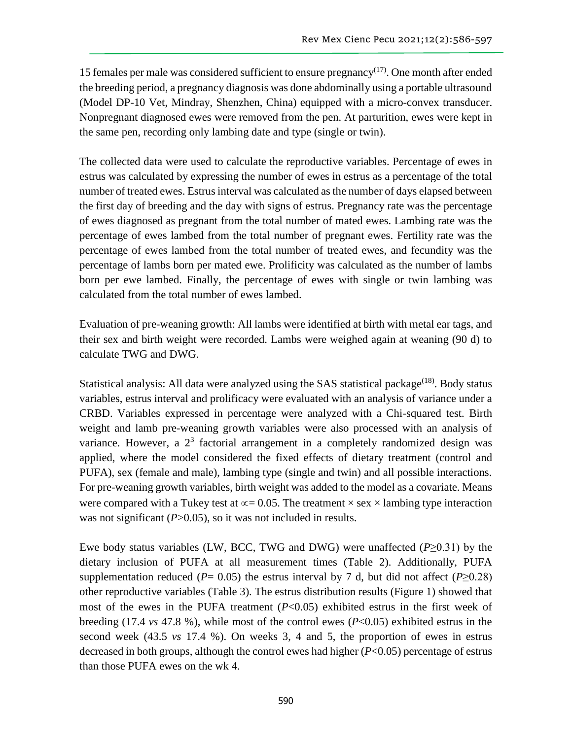15 females per male was considered sufficient to ensure pregnancy<sup> $(17)$ </sup>. One month after ended the breeding period, a pregnancy diagnosis was done abdominally using a portable ultrasound (Model DP-10 Vet, Mindray, Shenzhen, China) equipped with a micro-convex transducer. Nonpregnant diagnosed ewes were removed from the pen. At parturition, ewes were kept in the same pen, recording only lambing date and type (single or twin).

The collected data were used to calculate the reproductive variables. Percentage of ewes in estrus was calculated by expressing the number of ewes in estrus as a percentage of the total number of treated ewes. Estrus interval was calculated as the number of days elapsed between the first day of breeding and the day with signs of estrus. Pregnancy rate was the percentage of ewes diagnosed as pregnant from the total number of mated ewes. Lambing rate was the percentage of ewes lambed from the total number of pregnant ewes. Fertility rate was the percentage of ewes lambed from the total number of treated ewes, and fecundity was the percentage of lambs born per mated ewe. Prolificity was calculated as the number of lambs born per ewe lambed. Finally, the percentage of ewes with single or twin lambing was calculated from the total number of ewes lambed.

Evaluation of pre-weaning growth: All lambs were identified at birth with metal ear tags, and their sex and birth weight were recorded. Lambs were weighed again at weaning (90 d) to calculate TWG and DWG.

Statistical analysis: All data were analyzed using the SAS statistical package<sup>(18)</sup>. Body status variables, estrus interval and prolificacy were evaluated with an analysis of variance under a CRBD. Variables expressed in percentage were analyzed with a Chi-squared test. Birth weight and lamb pre-weaning growth variables were also processed with an analysis of variance. However, a  $2<sup>3</sup>$  factorial arrangement in a completely randomized design was applied, where the model considered the fixed effects of dietary treatment (control and PUFA), sex (female and male), lambing type (single and twin) and all possible interactions. For pre-weaning growth variables, birth weight was added to the model as a covariate. Means were compared with a Tukey test at  $\infty = 0.05$ . The treatment  $\times$  sex  $\times$  lambing type interaction was not significant (*P*>0.05), so it was not included in results.

Ewe body status variables (LW, BCC, TWG and DWG) were unaffected (*P*≥0.31) by the dietary inclusion of PUFA at all measurement times (Table 2). Additionally, PUFA supplementation reduced ( $P = 0.05$ ) the estrus interval by 7 d, but did not affect ( $P \ge 0.28$ ) other reproductive variables (Table 3). The estrus distribution results (Figure 1) showed that most of the ewes in the PUFA treatment  $(P<0.05)$  exhibited estrus in the first week of breeding (17.4 *vs* 47.8 %), while most of the control ewes (*P*<0.05) exhibited estrus in the second week (43.5 *vs* 17.4 %). On weeks 3, 4 and 5, the proportion of ewes in estrus decreased in both groups, although the control ewes had higher (*P*<0.05) percentage of estrus than those PUFA ewes on the wk 4.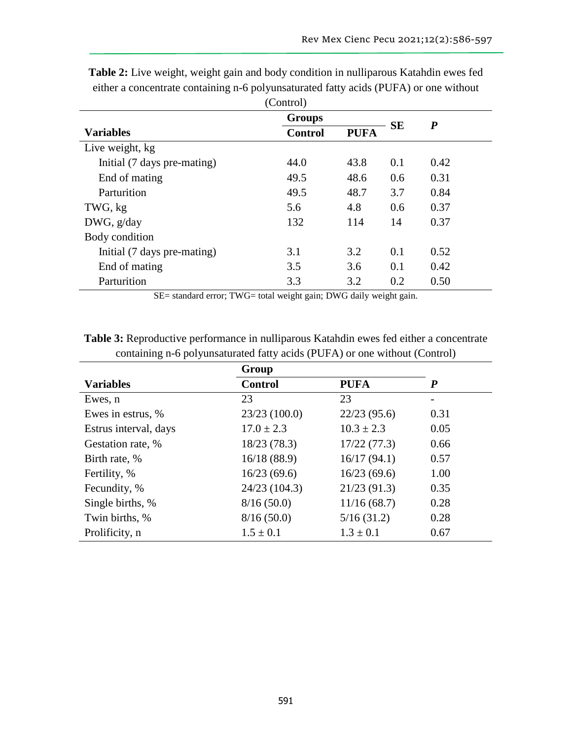|                             | <b>Groups</b>  |             |           |                  |  |  |  |
|-----------------------------|----------------|-------------|-----------|------------------|--|--|--|
| <b>Variables</b>            | <b>Control</b> | <b>PUFA</b> | <b>SE</b> | $\boldsymbol{P}$ |  |  |  |
| Live weight, kg             |                |             |           |                  |  |  |  |
| Initial (7 days pre-mating) | 44.0           | 43.8        | 0.1       | 0.42             |  |  |  |
| End of mating               | 49.5           | 48.6        | 0.6       | 0.31             |  |  |  |
| Parturition                 | 49.5           | 48.7        | 3.7       | 0.84             |  |  |  |
| TWG, kg                     | 5.6            | 4.8         | 0.6       | 0.37             |  |  |  |
| DWG, g/day                  | 132            | 114         | 14        | 0.37             |  |  |  |
| Body condition              |                |             |           |                  |  |  |  |
| Initial (7 days pre-mating) | 3.1            | 3.2         | 0.1       | 0.52             |  |  |  |
| End of mating               | 3.5            | 3.6         | 0.1       | 0.42             |  |  |  |
| Parturition                 | 3.3            | 3.2         | 0.2       | 0.50             |  |  |  |

**Table 2:** Live weight, weight gain and body condition in nulliparous Katahdin ewes fed either a concentrate containing n-6 polyunsaturated fatty acids (PUFA) or one without (Control)

SE= standard error; TWG= total weight gain; DWG daily weight gain.

**Table 3:** Reproductive performance in nulliparous Katahdin ewes fed either a concentrate containing n-6 polyunsaturated fatty acids (PUFA) or one without (Control)

|                       | Group          |                |      |
|-----------------------|----------------|----------------|------|
| <b>Variables</b>      | <b>Control</b> | <b>PUFA</b>    | P    |
| Ewes, n               | 23             | 23             |      |
| Ewes in estrus, %     | 23/23 (100.0)  | 22/23(95.6)    | 0.31 |
| Estrus interval, days | $17.0 \pm 2.3$ | $10.3 \pm 2.3$ | 0.05 |
| Gestation rate, %     | 18/23 (78.3)   | 17/22(77.3)    | 0.66 |
| Birth rate, %         | 16/18(88.9)    | 16/17(94.1)    | 0.57 |
| Fertility, %          | 16/23(69.6)    | 16/23(69.6)    | 1.00 |
| Fecundity, %          | 24/23 (104.3)  | 21/23(91.3)    | 0.35 |
| Single births, %      | 8/16(50.0)     | 11/16(68.7)    | 0.28 |
| Twin births, %        | 8/16(50.0)     | 5/16(31.2)     | 0.28 |
| Prolificity, n        | $1.5 \pm 0.1$  | $1.3 \pm 0.1$  | 0.67 |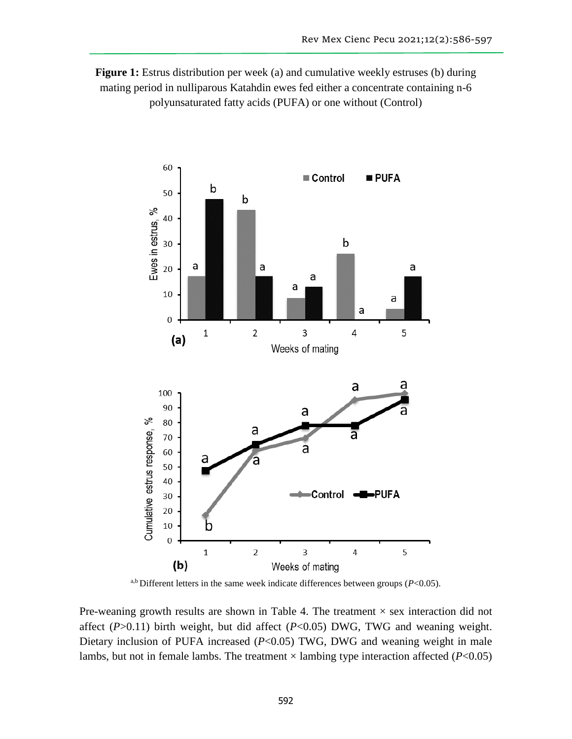**Figure 1:** Estrus distribution per week (a) and cumulative weekly estruses (b) during mating period in nulliparous Katahdin ewes fed either a concentrate containing n-6 polyunsaturated fatty acids (PUFA) or one without (Control)



a,b Different letters in the same week indicate differences between groups (*P*<0.05).

Pre-weaning growth results are shown in Table 4. The treatment  $\times$  sex interaction did not affect  $(P>0.11)$  birth weight, but did affect  $(P<0.05)$  DWG, TWG and weaning weight. Dietary inclusion of PUFA increased (*P*<0.05) TWG, DWG and weaning weight in male lambs, but not in female lambs. The treatment  $\times$  lambing type interaction affected ( $P<0.05$ )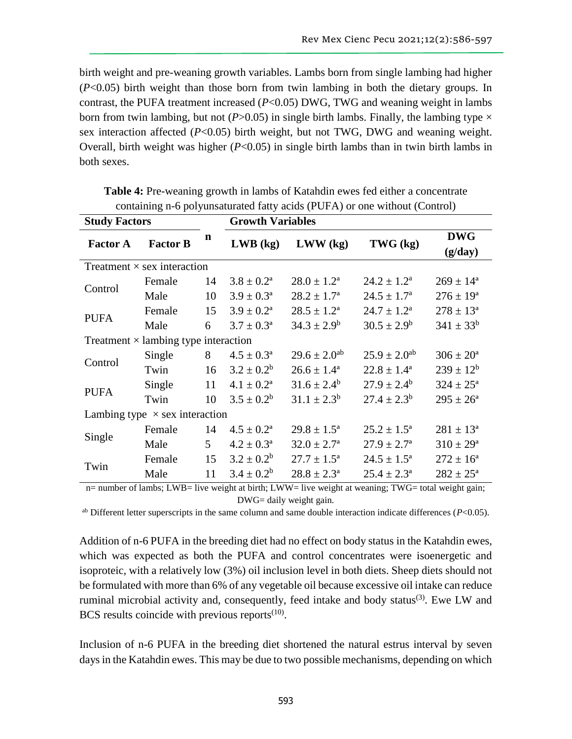birth weight and pre-weaning growth variables. Lambs born from single lambing had higher (*P*<0.05) birth weight than those born from twin lambing in both the dietary groups. In contrast, the PUFA treatment increased (*P*<0.05) DWG, TWG and weaning weight in lambs born from twin lambing, but not ( $P > 0.05$ ) in single birth lambs. Finally, the lambing type  $\times$ sex interaction affected (*P*<0.05) birth weight, but not TWG, DWG and weaning weight. Overall, birth weight was higher (*P*<0.05) in single birth lambs than in twin birth lambs in both sexes.

| <b>Study Factors</b>                        |                 |                | <b>Growth Variables</b> |                        |                        |                       |  |  |
|---------------------------------------------|-----------------|----------------|-------------------------|------------------------|------------------------|-----------------------|--|--|
| <b>Factor A</b>                             | <b>Factor B</b> | n              | $LWB$ (kg)              | $LWW$ (kg)             | TWG (kg)               | <b>DWG</b><br>(g/day) |  |  |
| Treatment $\times$ sex interaction          |                 |                |                         |                        |                        |                       |  |  |
| Control                                     | Female          | 14             | $3.8 \pm 0.2^a$         | $28.0 \pm 1.2^a$       | $24.2 \pm 1.2^{\rm a}$ | $269 \pm 14^{\circ}$  |  |  |
|                                             | Male            | 10             | $3.9 \pm 0.3^{\rm a}$   | $28.2 \pm 1.7^{\rm a}$ | $24.5 \pm 1.7^{\rm a}$ | $276 \pm 19^{\rm a}$  |  |  |
| <b>PUFA</b>                                 | Female          | 15             | $3.9 \pm 0.2^a$         | $28.5 \pm 1.2^a$       | $24.7 \pm 1.2^{\rm a}$ | $278 \pm 13^a$        |  |  |
|                                             | Male            | 6              | $3.7 \pm 0.3^{\rm a}$   | $34.3 \pm 2.9^b$       | $30.5 \pm 2.9^b$       | $341 \pm 33^b$        |  |  |
| Treatment $\times$ lambing type interaction |                 |                |                         |                        |                        |                       |  |  |
| Control                                     | Single          | 8              | $4.5 \pm 0.3^{\circ}$   | $29.6 \pm 2.0^{ab}$    | $25.9 \pm 2.0^{ab}$    | $306 \pm 20^a$        |  |  |
|                                             | Twin            | 16             | $3.2 \pm 0.2^b$         | $26.6 \pm 1.4^a$       | $22.8 \pm 1.4^a$       | $239 \pm 12^b$        |  |  |
| <b>PUFA</b>                                 | Single          | 11             | $4.1 \pm 0.2^a$         | $31.6 \pm 2.4^b$       | $27.9 \pm 2.4^b$       | $324 \pm 25^{\circ}$  |  |  |
|                                             | Twin            | 10             | $3.5 \pm 0.2^b$         | $31.1 \pm 2.3^b$       | $27.4 \pm 2.3^b$       | $295 \pm 26^{\circ}$  |  |  |
| Lambing type $\times$ sex interaction       |                 |                |                         |                        |                        |                       |  |  |
| Single                                      | Female          | 14             | $4.5 \pm 0.2^{\rm a}$   | $29.8 \pm 1.5^{\circ}$ | $25.2 \pm 1.5^{\circ}$ | $281 \pm 13^a$        |  |  |
|                                             | Male            | 5 <sup>1</sup> | $4.2 \pm 0.3^{\rm a}$   | $32.0 \pm 2.7^{\circ}$ | $27.9 \pm 2.7^{\circ}$ | $310 \pm 29^{\rm a}$  |  |  |
| Twin                                        | Female          | 15             | $3.2 \pm 0.2^b$         | $27.7 \pm 1.5^{\circ}$ | $24.5 \pm 1.5^{\circ}$ | $272 \pm 16^a$        |  |  |
|                                             | Male            | 11             | $3.4 \pm 0.2^b$         | $28.8 \pm 2.3^a$       | $25.4 \pm 2.3^a$       | $282 \pm 25^{\rm a}$  |  |  |

**Table 4:** Pre-weaning growth in lambs of Katahdin ewes fed either a concentrate containing n-6 polyunsaturated fatty acids (PUFA) or one without (Control)

n= number of lambs; LWB= live weight at birth; LWW= live weight at weaning; TWG= total weight gain; DWG= daily weight gain.

ab Different letter superscripts in the same column and same double interaction indicate differences (*P*<0.05).

Addition of n-6 PUFA in the breeding diet had no effect on body status in the Katahdin ewes, which was expected as both the PUFA and control concentrates were isoenergetic and isoproteic, with a relatively low (3%) oil inclusion level in both diets. Sheep diets should not be formulated with more than 6% of any vegetable oil because excessive oil intake can reduce ruminal microbial activity and, consequently, feed intake and body status<sup>(3)</sup>. Ewe LW and BCS results coincide with previous reports $(10)$ .

Inclusion of n-6 PUFA in the breeding diet shortened the natural estrus interval by seven days in the Katahdin ewes. This may be due to two possible mechanisms, depending on which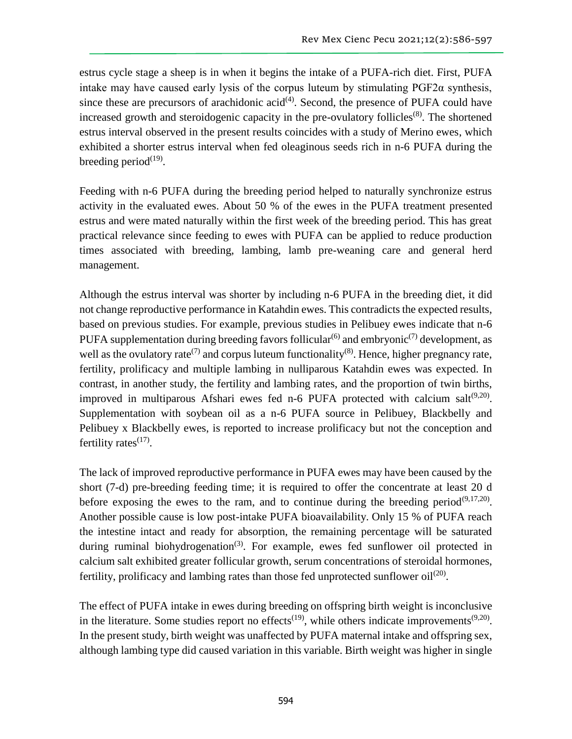estrus cycle stage a sheep is in when it begins the intake of a PUFA-rich diet. First, PUFA intake may have caused early lysis of the corpus luteum by stimulating  $PGF2\alpha$  synthesis, since these are precursors of arachidonic acid<sup> $(4)$ </sup>. Second, the presence of PUFA could have increased growth and steroidogenic capacity in the pre-ovulatory follicles<sup>(8)</sup>. The shortened estrus interval observed in the present results coincides with a study of Merino ewes, which exhibited a shorter estrus interval when fed oleaginous seeds rich in n-6 PUFA during the breeding period $(19)$ .

Feeding with n-6 PUFA during the breeding period helped to naturally synchronize estrus activity in the evaluated ewes. About 50 % of the ewes in the PUFA treatment presented estrus and were mated naturally within the first week of the breeding period. This has great practical relevance since feeding to ewes with PUFA can be applied to reduce production times associated with breeding, lambing, lamb pre-weaning care and general herd management.

Although the estrus interval was shorter by including n-6 PUFA in the breeding diet, it did not change reproductive performance in Katahdin ewes. This contradicts the expected results, based on previous studies. For example, previous studies in Pelibuey ewes indicate that n-6 PUFA supplementation during breeding favors follicular<sup>(6)</sup> and embryonic<sup>(7)</sup> development, as well as the ovulatory rate<sup>(7)</sup> and corpus luteum functionality<sup>(8)</sup>. Hence, higher pregnancy rate, fertility, prolificacy and multiple lambing in nulliparous Katahdin ewes was expected. In contrast, in another study, the fertility and lambing rates, and the proportion of twin births, improved in multiparous Afshari ewes fed n-6 PUFA protected with calcium salt $(9,20)$ . Supplementation with soybean oil as a n-6 PUFA source in Pelibuey, Blackbelly and Pelibuey x Blackbelly ewes, is reported to increase prolificacy but not the conception and fertility rates $(17)$ .

The lack of improved reproductive performance in PUFA ewes may have been caused by the short (7-d) pre-breeding feeding time; it is required to offer the concentrate at least 20 d before exposing the ewes to the ram, and to continue during the breeding period<sup> $(9,17,20)$ </sup>. Another possible cause is low post-intake PUFA bioavailability. Only 15 % of PUFA reach the intestine intact and ready for absorption, the remaining percentage will be saturated during ruminal biohydrogenation<sup>(3)</sup>. For example, ewes fed sunflower oil protected in calcium salt exhibited greater follicular growth, serum concentrations of steroidal hormones, fertility, prolificacy and lambing rates than those fed unprotected sunflower  $\text{oil}^{(20)}$ .

The effect of PUFA intake in ewes during breeding on offspring birth weight is inconclusive in the literature. Some studies report no effects<sup>(19)</sup>, while others indicate improvements<sup>(9,20)</sup>. In the present study, birth weight was unaffected by PUFA maternal intake and offspring sex, although lambing type did caused variation in this variable. Birth weight was higher in single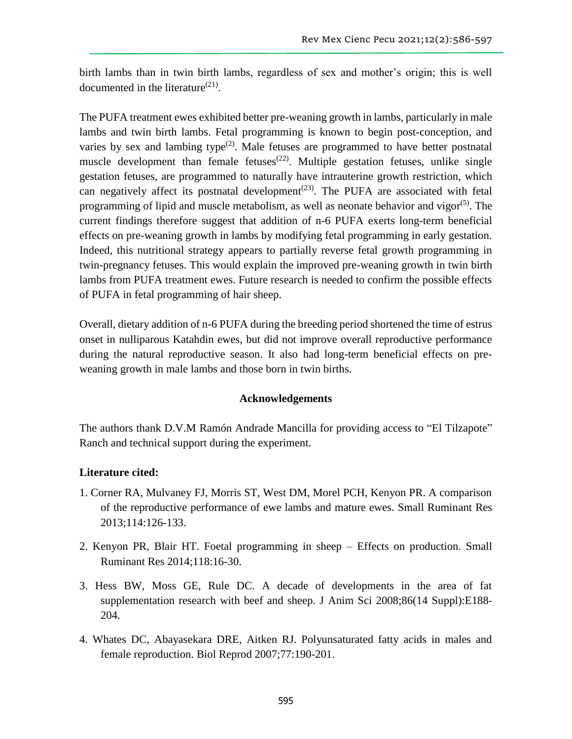birth lambs than in twin birth lambs, regardless of sex and mother's origin; this is well documented in the literature $(21)$ .

The PUFA treatment ewes exhibited better pre-weaning growth in lambs, particularly in male lambs and twin birth lambs. Fetal programming is known to begin post-conception, and varies by sex and lambing type<sup> $(2)$ </sup>. Male fetuses are programmed to have better postnatal muscle development than female fetuses<sup> $(22)$ </sup>. Multiple gestation fetuses, unlike single gestation fetuses, are programmed to naturally have intrauterine growth restriction, which can negatively affect its postnatal development<sup> $(23)$ </sup>. The PUFA are associated with fetal programming of lipid and muscle metabolism, as well as neonate behavior and vigor $(5)$ . The current findings therefore suggest that addition of n-6 PUFA exerts long-term beneficial effects on pre-weaning growth in lambs by modifying fetal programming in early gestation. Indeed, this nutritional strategy appears to partially reverse fetal growth programming in twin-pregnancy fetuses. This would explain the improved pre-weaning growth in twin birth lambs from PUFA treatment ewes. Future research is needed to confirm the possible effects of PUFA in fetal programming of hair sheep.

Overall, dietary addition of n-6 PUFA during the breeding period shortened the time of estrus onset in nulliparous Katahdin ewes, but did not improve overall reproductive performance during the natural reproductive season. It also had long-term beneficial effects on preweaning growth in male lambs and those born in twin births.

# **Acknowledgements**

The authors thank D.V.M Ramón Andrade Mancilla for providing access to "El Tilzapote" Ranch and technical support during the experiment.

# **Literature cited:**

- 1. Corner RA, Mulvaney FJ, Morris ST, West DM, Morel PCH, Kenyon PR. A comparison of the reproductive performance of ewe lambs and mature ewes. Small Ruminant Res 2013;114:126-133.
- 2. Kenyon PR, Blair HT. Foetal programming in sheep Effects on production. Small Ruminant Res 2014;118:16-30.
- 3. Hess BW, Moss GE, Rule DC. A decade of developments in the area of fat supplementation research with beef and sheep. J Anim Sci 2008;86(14 Suppl):E188- 204.
- 4. Whates DC, Abayasekara DRE, Aitken RJ. Polyunsaturated fatty acids in males and female reproduction. Biol Reprod 2007;77:190-201.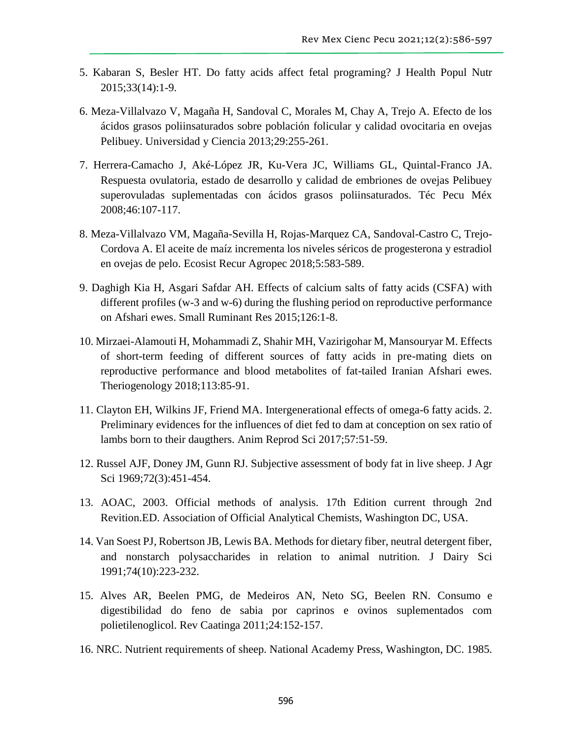- 5. Kabaran S, Besler HT. Do fatty acids affect fetal programing? J Health Popul Nutr 2015;33(14):1-9.
- 6. Meza-Villalvazo V, Magaña H, Sandoval C, Morales M, Chay A, Trejo A. Efecto de los ácidos grasos poliinsaturados sobre población folicular y calidad ovocitaria en ovejas Pelibuey. Universidad y Ciencia 2013;29:255-261.
- 7. Herrera-Camacho J, Aké-López JR, Ku-Vera JC, Williams GL, Quintal-Franco JA. Respuesta ovulatoria, estado de desarrollo y calidad de embriones de ovejas Pelibuey superovuladas suplementadas con ácidos grasos poliinsaturados. Téc Pecu Méx 2008;46:107-117.
- 8. Meza-Villalvazo VM, Magaña-Sevilla H, Rojas-Marquez CA, Sandoval-Castro C, Trejo-Cordova A. El aceite de maíz incrementa los niveles séricos de progesterona y estradiol en ovejas de pelo. Ecosist Recur Agropec 2018;5:583-589.
- 9. Daghigh Kia H, Asgari Safdar AH. Effects of calcium salts of fatty acids (CSFA) with different profiles (w-3 and w-6) during the flushing period on reproductive performance on Afshari ewes. Small Ruminant Res 2015;126:1-8.
- 10. Mirzaei-Alamouti H, Mohammadi Z, Shahir MH, Vazirigohar M, Mansouryar M. Effects of short-term feeding of different sources of fatty acids in pre-mating diets on reproductive performance and blood metabolites of fat-tailed Iranian Afshari ewes. Theriogenology 2018;113:85-91.
- 11. Clayton EH, Wilkins JF, Friend MA. Intergenerational effects of omega-6 fatty acids. 2. Preliminary evidences for the influences of diet fed to dam at conception on sex ratio of lambs born to their daugthers. Anim Reprod Sci 2017;57:51-59.
- 12. Russel AJF, Doney JM, Gunn RJ. Subjective assessment of body fat in live sheep. J Agr Sci 1969;72(3):451-454.
- 13. AOAC, 2003. Official methods of analysis. 17th Edition current through 2nd Revition.ED. Association of Official Analytical Chemists, Washington DC, USA.
- 14. Van Soest PJ, Robertson JB, Lewis BA. Methods for dietary fiber, neutral detergent fiber, and nonstarch polysaccharides in relation to animal nutrition. J Dairy Sci 1991;74(10):223-232.
- 15. Alves AR, Beelen PMG, de Medeiros AN, Neto SG, Beelen RN. Consumo e digestibilidad do feno de sabia por caprinos e ovinos suplementados com polietilenoglicol. Rev Caatinga 2011;24:152-157.
- 16. NRC. Nutrient requirements of sheep. National Academy Press, Washington, DC. 1985.